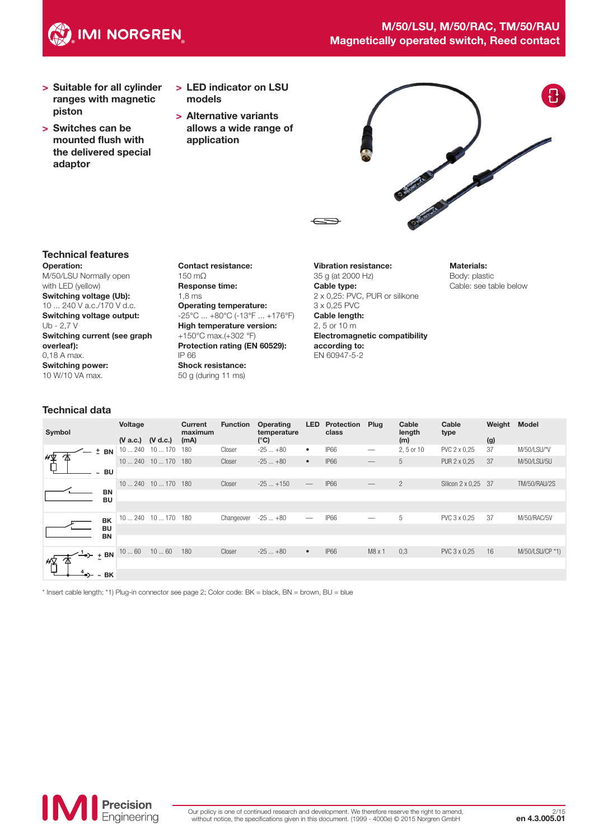

- > Suitable for all cylinder ranges with magnetic piston
- > Switches can be mounted flush with the delivered special adaptor
- > LED indicator on LSU models
- > Alternative variants allows a wide range of application



#### Operation: Technical features

M/50/LSU Normally open with LED (yellow) Switching voltage (Ub): 10 ... 240 V a.c./170 V d.c. Switching voltage output:  $Uh - 27V$ Switching current (see graph overleaf): 0,18 A max. Switching power: 10 W/10 VA max.

Contact resistance: 150 mΩ Response time: 1,8 ms Operating temperature: -25°C ... +80°C (-13°F ... +176°F) High temperature version: +150°C max.(+302 °F) Protection rating (EN 60529): IP 66 Shock resistance: 50 g (during 11 ms)

Vibration resistance: 35 g (at 2000 Hz) Cable type: 2 x 0,25: PVC, PUR or silikone 3 x 0,25 PVC Cable length: 2, 5 or 10 m Electromagnetic compatibility according to: EN 60947-5-2

Materials: Body: plastic Cable: see table below

## Technical data

| Symbol |                    |                        | Voltage<br>$(V$ a.c.)                       | (V d.c.)            | Current<br>maximum<br>(mA) | <b>Function</b> | <b>Operating</b><br>temperature<br>$(^{\circ}C)$ | <b>LED</b>                      | Protection<br>class | Plug                            | Cable<br>length<br>(m) | Cable<br>type       | Weight<br>(g) | <b>Model</b>        |
|--------|--------------------|------------------------|---------------------------------------------|---------------------|----------------------------|-----------------|--------------------------------------------------|---------------------------------|---------------------|---------------------------------|------------------------|---------------------|---------------|---------------------|
|        |                    | $±$ BN                 |                                             | $10240$ $10170$     | 180                        | Closer          | $-25+80$                                         | $\bullet$                       | <b>IP66</b>         | $\hspace{0.1mm}-\hspace{0.1mm}$ | 2, 5 or 10             | PVC 2 x 0,25        | 37            | M/50/LSU/*V         |
| "平     |                    |                        | 10240                                       | $10170$ 180         |                            | Closer          | $-25+80$                                         | $\bullet$                       | <b>IP66</b>         |                                 | 5                      | PUR 2 x 0,25        | 37            | M/50/LSU/5U         |
|        |                    | <b>BU</b>              |                                             |                     |                            |                 |                                                  |                                 |                     |                                 |                        |                     |               |                     |
|        |                    |                        | 10240                                       | $10170$ 180         |                            | Closer          | $-25+150$                                        | $\hspace{0.1mm}-\hspace{0.1mm}$ | <b>IP66</b>         | $\hspace{0.1mm}-\hspace{0.1mm}$ | $\overline{2}$         | Silicon 2 x 0,25 37 |               | <b>TM/50/RAU/2S</b> |
|        |                    | <b>BN</b><br><b>BU</b> |                                             |                     |                            |                 |                                                  |                                 |                     |                                 |                        |                     |               |                     |
|        |                    |                        |                                             |                     |                            |                 |                                                  |                                 |                     |                                 |                        |                     |               |                     |
|        |                    | <b>BK</b>              |                                             | 10  240 10  170 180 |                            | Changeover      | $-25+80$                                         | $\hspace{0.1mm}-\hspace{0.1mm}$ | <b>IP66</b>         | $\hspace{0.1mm}-\hspace{0.1mm}$ | 5                      | PVC 3 x 0,25        | 37            | M/50/RAC/5V         |
|        |                    | <b>BU</b><br><b>BN</b> |                                             |                     |                            |                 |                                                  |                                 |                     |                                 |                        |                     |               |                     |
|        |                    |                        |                                             |                     |                            |                 |                                                  |                                 |                     |                                 |                        |                     |               |                     |
|        |                    |                        | $\left(-\frac{1}{2}\right)$ + BN $^{10}$ 60 | 1060                | 180                        | Closer          | $-25+80$                                         | $\bullet$                       | <b>IP66</b>         | M8x1                            | 0,3                    | PVC 3 x 0,25        | 16            | M/50/LSU/CP *1)     |
| 怊      |                    |                        |                                             |                     |                            |                 |                                                  |                                 |                     |                                 |                        |                     |               |                     |
|        | $\rightarrow -$ BK |                        |                                             |                     |                            |                 |                                                  |                                 |                     |                                 |                        |                     |               |                     |

\* Insert cable length; \*1) Plug-in connector see page 2; Color code: BK = black, BN = brown, BU = blue

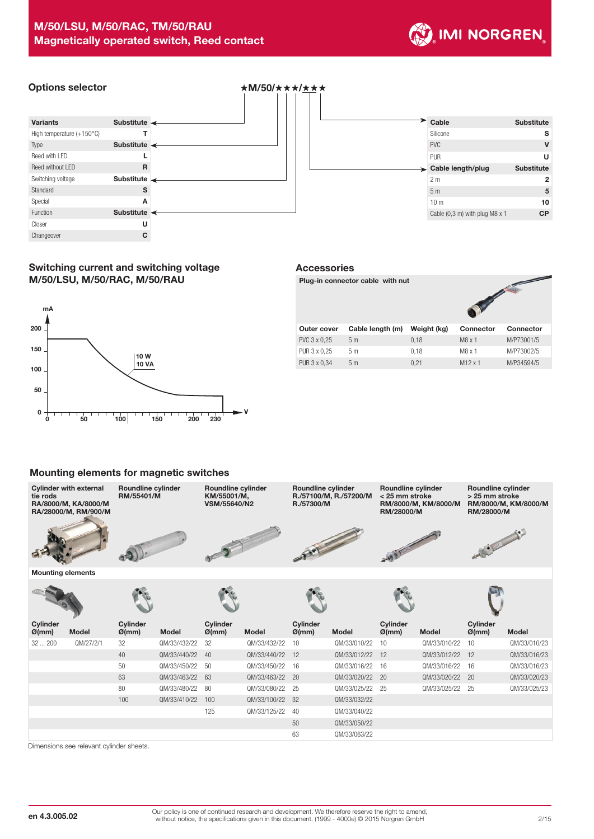

# Options selector **˙**M/**50/˙˙˙/˙˙˙**



| <b>Substitute</b> | Cable                                    |
|-------------------|------------------------------------------|
| s                 | Silicone                                 |
| V                 | <b>PVC</b>                               |
| U                 | <b>PUR</b>                               |
| <b>Substitute</b> | > Cable length/plug                      |
| $\mathbf{2}$      | 2 <sub>m</sub>                           |
| 5                 | 5 <sub>m</sub>                           |
| 10                | 10 <sub>m</sub>                          |
| <b>CP</b>         | Cable $(0,3 \text{ m})$ with plug M8 x 1 |
|                   |                                          |

## Switching current and switching voltage M/50/LSU, M/50/RAC, M/50/RAU



### Accessories

Plug-in connector cable with nut



| Outer cover  | Cable length (m) | Weight (kg) | <b>Connector</b> | Connector  |  |  |  |
|--------------|------------------|-------------|------------------|------------|--|--|--|
| PVC 3 x 0.25 | 5m               | 0.18        | M8x1             | M/P73001/5 |  |  |  |
| PUR 3 x 0,25 | 5 m              | 0.18        | $M8 \times 1$    | M/P73002/5 |  |  |  |
| PUR 3 x 0.34 | 5m               | 0.21        | $M12 \times 1$   | M/P34594/5 |  |  |  |

### Mounting elements for magnetic switches



| Cyllinger<br>$\varnothing$ (mm) | <b>Model</b> | Cyllinger<br>$\varnothing$ (mm) | <b>Model</b>    | Cyllinger<br>$\varnothing$ (mm) | <b>Model</b>    | Cyllinger<br>$\varnothing$ (mm) | <b>Model</b>    | cymuder<br>$\varnothing$ (mm) | <b>Model</b>    | <b>Uyllituer</b><br>$\varnothing$ (mm) | <b>Model</b> |
|---------------------------------|--------------|---------------------------------|-----------------|---------------------------------|-----------------|---------------------------------|-----------------|-------------------------------|-----------------|----------------------------------------|--------------|
| 32200                           | QM/27/2/1    | 32                              | QM/33/432/22    | - 32                            | QM/33/432/22 10 |                                 | QM/33/010/22    | 10                            | QM/33/010/22    | 10                                     | QM/33/010/23 |
|                                 |              | 40                              | QM/33/440/22 40 |                                 | QM/33/440/22 12 |                                 | QM/33/012/22    | 12                            | QM/33/012/22 12 |                                        | QM/33/016/23 |
|                                 |              | 50                              | QM/33/450/22 50 |                                 | QM/33/450/22 16 |                                 | QM/33/016/22 16 |                               | QM/33/016/22 16 |                                        | QM/33/016/23 |
|                                 |              | 63                              | QM/33/463/22 63 |                                 | QM/33/463/22 20 |                                 | QM/33/020/22 20 |                               | QM/33/020/22 20 |                                        | QM/33/020/23 |
|                                 |              | 80                              | QM/33/480/22    | - 80                            | QM/33/080/22 25 |                                 | QM/33/025/22 25 |                               | QM/33/025/22 25 |                                        | QM/33/025/23 |
|                                 |              | 100                             | QM/33/410/22    | 100                             | QM/33/100/22 32 |                                 | QM/33/032/22    |                               |                 |                                        |              |
|                                 |              |                                 |                 | 125                             | QM/33/125/22 40 |                                 | QM/33/040/22    |                               |                 |                                        |              |
|                                 |              |                                 |                 |                                 |                 | 50                              | QM/33/050/22    |                               |                 |                                        |              |
|                                 |              |                                 |                 |                                 |                 | 63                              | QM/33/063/22    |                               |                 |                                        |              |

Dimensions see relevant cylinder sheets.